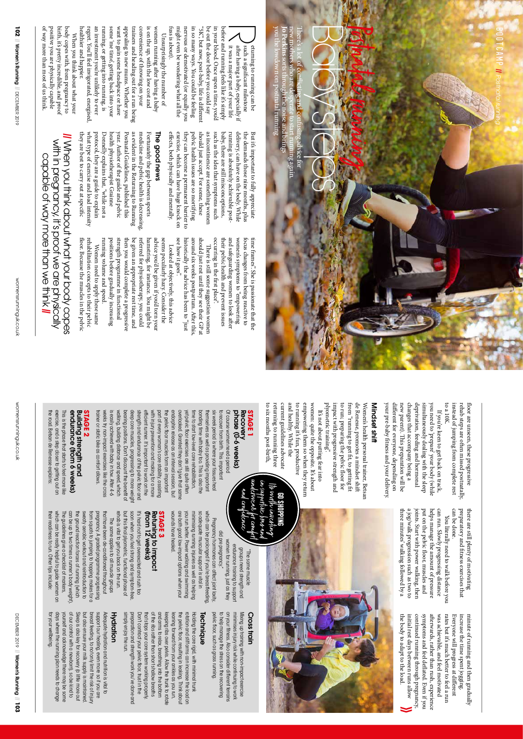**102** || Women's Running

of way more than most of us think. positive you are physically capable birth, it's pretty incredible, and proof body copes with, from pregnancy to

of way more than most of us think.

positive you are physically capable birth, it's pretty incredible, and proof healthier and happier.

healthier and happier.

they are best to carry out at speci what type of exercise and load intensity protocol, they are a guide to explain Donnelly explains that, "while not a health physiotherapist Grainne year. Author of the guide and pelvic Postnatal Guidelines, published this as evident in the Returning to Running medicine and pelvic health is decreasing, Fortunately the gap between sports

what type of exercise and load intensity protocol, they are a guide to explain Donnelly explains that, "while not a health physiotherapist Grainne year. Author of the guide and pelvic Postnatal Guidelines, published this

 $\mathbb{R}$ 

|| When you think about what your body copes with in pregnancy, it's proof we are physically When you think about what your body copes

with in pregnancy, it's proot we are physically

running volume and speed. positions before gradually increasing strength programme in functional then you would complete a progressive be given an appropriate rest time, and referred for physiotherapy, you could hamstring, for instance. You might be advice you'd be given if you'd torn your seems peculiarly hazy. Consider the

running volume and speed. positions before gradually increasing strength programme in tunctional then you would complete a progressive be given an appropriate rest time, and reterred tor physiotherapy, you could hamstring, tor instance. You might be advice you'd be given if you'd torn your seems peculiarly hazy. Consider the

Women need to apply these same floor. Because the muscles in the pelvic rehabilitation concepts to their pelvic oor. Because the muscles in the pelvic

Women need to apply these same

rehabilitation concepts to their pelvic

When you think about what your

When you think about what your

body copes with, from pregnancy to

regret. You'll feel invigorated, energised, an investment you're unlikely to ever running, or getting into running, is some 'me time', getting back into your want to gain some headspace or have appealing to new mums. Whether you trainers and heading out for a run being convenience of throwing on your is on the up, with the low cost and

regret. You'll feel invigorated, energised.

an investment you're unlikely to ever some 'me time', getting back into your

running, or getting into running, is want to gain some headspace or have appealing to new mums. Whether you trainers and heading out for a run being convenience of throwing on your is on the up, with the low cost and

capable of way more than we think. capable of way more than we think ||

> to a 10K. to a 10K. instead of jumping from complete rest instead of jumping from complete rest rehab steps are orehab steps are often missed postnatally, If you're keen to get back on track, If you're keen to get back on track, en missed postnatally,

floor are unseen, these progressive oor are unseen, these progressive

bootcamp

*||*

 *Postnatal running*

different for everyone, depending on your pre-baby fitness and your delivery. your pre-baby new parent). This preparation will be changes that accompany being a deprivation, feeding and hormonal simultaneously dealing with the sleep you need to 'prepare' your body (while you need to 'prepare' your body (while new parent). changes that accompany being a deprivation, feeding and hormonal simultaneously dealing with the sleep ferent for everyone, depending on tness and your delivery. is preparation will be

## Mindset shiMindset shift

plyometric training". plyometric training impact with progressive strength and to run; preparing the pelvic from "running to get de Renesse, promotes a mindset shift Women's health personal trainer, Betsan Women's health personal trainer, Betsar impact with progressive strength and de Renesse, promotes a mindset shi r t, to getting foor for ft

Baby steps

E

ere's a lot of con

f

**Joseph the poise and bring** new mothers who are desperate to start running again. sorts through the noise and brings

you the lowdown on postnatal running

own on postnatal running

 $\overline{\mathcal{A}}$ 

af

er having a baby, especially if it was a major part of your life

"5K", but now, post-baby, life is di be out the door before you could say in your blood. Once upon a time, you'd before and running feels like it's simply

fuss is about).

tuss is about).

effects, both physically and mentally. exercise, which can have huge knock on they can become a permanent barrier to pelvic health issues are so mortifying should just accept. For some, these as incontinence are something women such as the idea that symptoms such baby, there are still misconceptions, running is absolutely achievable postdelivery, can have on the body. While the demands those nine months, plus But it's important to fully appreciate

fects, both physically and mentally.

exercise, which can have huge knock on

they can become a permanent barrier to pelvic health issues are so mortifying should just accept. For some, these as incontinence are something women baby, there are still misconceptions, running is absolutely achievable post delivery, can have on the body. While the demands those nine months, plus But it's important to fully appreciate

Unsurprisingly the number of

Unsurprisingly the number of

women running a

women running after having a baby

er having a baby

The good news

The good news

as evident in the Returning to Running medicine and pelvic health is decreasing, Fortunately the gap between sports might even be wondering what all the nervous or demotivated (or equally you in so many ways. You could be feeling

might even be wondering what all the nervous or demotivated (or equally you in so many ways. You could be feeling be out the door before you could say in your blood. Once upon a time, you'd before and running feels like it's simply

"5K", but now, post-baby, life is different

eturning to running can be such a significant milestone cant milestone

icting and confusing advice for

unga sam

**Samuro** 

Postnatal

running

current guidelines advocate and healthy. While the women: quite the opposite. It's about returning to running three to running it's fun, productive to running it's tun, productive empowering them so when they return women: quite the opposite. It's about returning to running three current guidelines advocate and healthy. While the empowering them so when they return It's not about putting fear into It's not about putting fear into

**go shopping** Itr unic

to six months post-birth, to six months post-birth, **STAGE 1**

> in s

### phase (0-6 weeks) phase (0-6 weeks) Recovery Recovery

and safeguarding women to look a women's symptoms to "empowering focus changes from being reactive to time frames". She is passionate that the

their pelvic health and prevent issues frst place". There is still some suggestion women ere is still some suggestion women

their pelvic health and prevent issues women's symptoms to "empowering focus changes from being reactive to time frames". She is passionate that the

occurring in the

such as the idea that symptoms such

around six weeks postpartum. A should just rest until they see their GP at

historically the advice has been to "just Looked at objectively, this advice

historically the advice has been to "just should just rest until they see their GP at

see how it goes".

Looked at objectively, this advice

see how it goes".

fer this,

fer

trainer or static bike as comfort allows. weeks try non-impact exercises like the cross is easily achieved with baby in tow. After 4-6 is easily achieved with baby in tow. After 4-6 walking, building distance and speed, which walking, building distance and speed, which bearing positions. Don't discount the benefit of bearing positions. Don't discount the benefit of deep core muscles, progressing to more weigh deep core muscles, progressing to more weight strength and endurance of the pelvic floor and strength and endurance of the pelvic floor and efficient runner. If's important to work on the efficient runner. It's important to work on the with injury prevention and making tor a more with injury prevention and making for a more part of every woman's core stability, assisting part of every woman's core stability, assisting the pelvic floor muscles form an important the pelvic floor muscles form an important endorphin release as an interval session, but endorphin release as an interval session, but overlooked. Granted they don't give that same overlooked. Granted they don't give that same yet pelvic floor exercises are still quite often yet pelvic floor exercises are still quite often ime to start low-level core rehabilitation, time to start low-level core rehabilitation, bonding time with baby too. This is also the bonding time with baby too. This is also the themselves as well as providing important six week period is where your tissues heal six week period is where your fissues hear to recover from birth. This important to recover from birth. This important Of course women need a period Of course women need a period rainer or static bike as comtort allows. veeks try non-impact exercises like the cross hemselves as well as providing important

## Building strength and Building strength and **STAGE 2**

the road. Betsan de Renesse explains: exercise, and a step closer to getting out on This is the phase that starts to feel more like This is the phase that starts to feel more like endurance (rrom o weeks) endurance (from 6 weeks) he road. Betsan de Renesse explains: exercise, and a step closer to getting out on

their readiness to run. Other tips include: which can be really helpful to guide women on The guidelines give a checklist of markers, can be up to two times a runner's body weight). the ground reaction forces of running (which sweaty aerobic workout and reintroduction to from squats to jumping to hopping makes for a pregnancy. A graded programme progressing that have been de-conditioned throughout

their readiness to run. Other tips include: which can be really helpful to guide women on The guidelines give a checklist of markers the ground reaction forces of running (which sweaty aerobic workout and reintroduction to from squats to jumping to hopping makes for a bussan body and all programme progressing

can be up to two times a runner's body weight

preparatory and fitness exercises that can be done. can be done. preparatory and there are still plenty of motivating there are still plenty of motivating tness exercises that

joints. Start with power walking, then put on the pelvic floor, muscles and helps manage the amount of pressure can run. Slowly progressing distance three minutes' walking followed by a a jog/walk progression such as two to a jog/walk progression such as two to joints. Start with power walking, then put on the pelvic helps manage the amount of pressure can run. Slowly progressing distance You literally need to walk before you You literally need to walk before you oor, muscles and

three minutes' walking followed by a

symptoms and feel deflated. Even if you the body to adapt to the load. the body to adapt to the load. initial rest days between runs allow initial rest days between runs allow continued running through pregnancy continued running through pregnancy, symptoms and feel dea fwas achievable, and feel motivated was achievable, and feel motivated rates but it's much better to feel a run rates but it's much better to feel a run Everyone will progress at different Everyone will progress at di increase the time spent jogging. increase the time spent jogging. minute of running and then gradually minute of running and then gradually erwards, rather than rush, experience ated. Even if you



# $\mathscr{E}$ Nc plas an in supportive prar and<br>underwear for comfort<br>and confidence

Cross train

Cross train

which can be prolonged it you're breastfeeding which can be prolonged if you're breastfeeding, Pregnancy hormones can affect joint laxity Pregnancy hormones can affect joint laxity, did pre pregnancy." did pre pregnancy." women for running, just as they women for running, just as they endurance training to support endurance training to support groups need strength and groups need strength and "The same muscle "The same muscle

> on your fitness. Also consider different terrains minimises injury risk while continuing to work Mixing up training with non-impact exercise

on your fimess. Also consider different terrains

minimises injury risk while continuing to work Mixing up training with non-impact exercise

pelvic floor, such as grass running. pelvic floor, such as grass running.

you run better. Power walking and swimming minimising running injuries as well as helping so adequate muscular support is vital in you run better. Power walking and swimming minimising running injuries as well as helping so adequate muscular support is vital in to help manage the stress on the recovering to help manage the stress on the recovering

### **Technique** Technique

Don't contract your pelvic floor, trust in the Don't contract your pelvic floor, trust in the that stops your core system working properly. that stops your core system working properly. of the ribs rather than short shallow breaths of the ribs rather than short shallow breaths and arms to relax, breathing into the bottom and arms to relax, breathing into the bottom keeping ribs over pelvis. Allow the trunk to rotate keeping ribs over pelvis. Allow the trunk to rotate eaning forward from your ankies as you run, leaning forward from your ankles as you run, the pelvic floor, resulting in leaking. Think about the pelvic floor, resulting in leaking. Think about rotation and stift arms can increase the load on rotation and stiff arms can increase the load on Holding the core rigid, with minimal trunk Holding the core rigid, with minimal trunk

breast feeding, to not only limit the risk of injury breast feeding, to not only limit the risk of injury support our healing, even more so if you are support our healing, even more so if you are Adequate hydration and nutrition is vital to Adequate hydration and nutrition is vital to Hydration Hydration simply enjoy the run. simply enjoy the run. preparation and strength work you've done and preparation and strength work you've done and

rehab is vital to get you back on the run. but this final plyometric, functional phase of soon when you feel strong and symptom-free, It's hard not to get overexcited and rush too

rehab is vital to get you back on the run.

but this final plyometric, functional phase of soon when you teel strong and symptom-tree If's hard not to get overexcited and rush too

The same applies to all muscle groups

The same applies to all muscle groups

that have been de-conditioned throughout

(from 12 weeks) Retuning to impact

(from 12 weeks) Retuning to impact **STAGE 3** wounds have healed.

wounds nave nealed.

are both good low-impact options when your

are born good low-impact options when your

tor your wellbeing. for your wellbeing. days where the running plan needs to change days where the running plan needs to change yourself and acknowledge there may be some yourself and acknowledge there may be some of our control with a newborn), so be kind to of our control with a newborn), so be kind to Sleep is also key for recovery (a little more out Sleep is also key for recovery (a little more out but also ensure your milk supply is maintained but also ensure your milk supply is maintained.



womensrunninguk.co.uk

womensrunninguk.co.uk